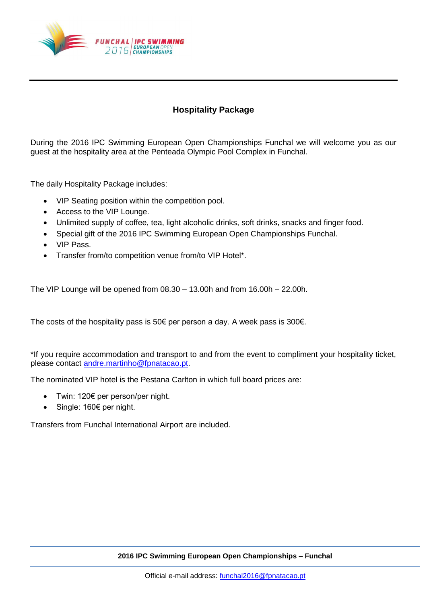

## **Hospitality Package**

During the 2016 IPC Swimming European Open Championships Funchal we will welcome you as our guest at the hospitality area at the Penteada Olympic Pool Complex in Funchal.

The daily Hospitality Package includes:

- VIP Seating position within the competition pool.
- Access to the VIP Lounge.
- Unlimited supply of coffee, tea, light alcoholic drinks, soft drinks, snacks and finger food.
- Special gift of the 2016 IPC Swimming European Open Championships Funchal.
- VIP Pass.
- Transfer from/to competition venue from/to VIP Hotel\*.

The VIP Lounge will be opened from 08.30 – 13.00h and from 16.00h – 22.00h.

The costs of the hospitality pass is 50€ per person a day. A week pass is 300€.

\*If you require accommodation and transport to and from the event to compliment your hospitality ticket, please contact [andre.martinho@fpnatacao.pt.](mailto:andre.martinho@fpnatacao.pt)

The nominated VIP hotel is the Pestana Carlton in which full board prices are:

- Twin: 120€ per person/per night.
- Single: 160€ per night.

Transfers from Funchal International Airport are included.